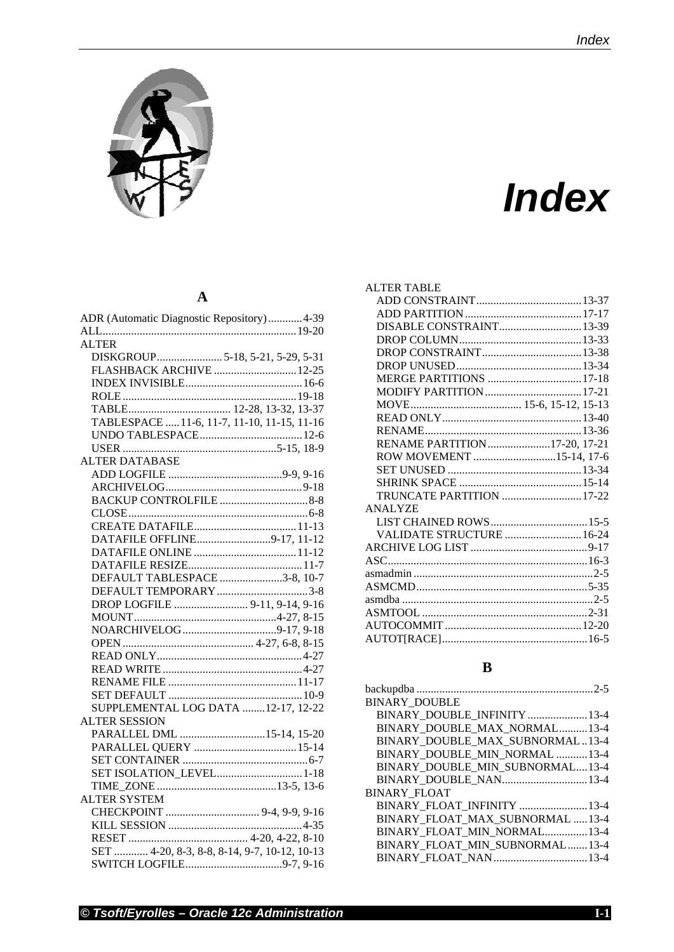

# *IIndex*

#### **A**

| ADR (Automatic Diagnostic Repository) 4-39   |
|----------------------------------------------|
|                                              |
| <b>ALTER</b>                                 |
| DISKGROUP5-18, 5-21, 5-29, 5-31              |
| FLASHBACK ARCHIVE  12-25                     |
|                                              |
|                                              |
|                                              |
| TABLESPACE  11-6, 11-7, 11-10, 11-15, 11-16  |
|                                              |
|                                              |
| <b>ALTER DATABASE</b>                        |
|                                              |
|                                              |
|                                              |
|                                              |
|                                              |
| DATAFILE OFFLINE9-17, 11-12                  |
|                                              |
|                                              |
| DEFAULT TABLESPACE 3-8, 10-7                 |
| DEFAULT TEMPORARY 3-8                        |
| DROP LOGFILE  9-11, 9-14, 9-16               |
|                                              |
|                                              |
|                                              |
|                                              |
|                                              |
|                                              |
|                                              |
| SUPPLEMENTAL LOG DATA 12-17, 12-22           |
| <b>ALTER SESSION</b>                         |
| PARALLEL DML 15-14, 15-20                    |
| PARALLEL QUERY  15-14                        |
|                                              |
| SET ISOLATION_LEVEL 1-18                     |
|                                              |
| <b>ALTER SYSTEM</b>                          |
|                                              |
|                                              |
|                                              |
| SET  4-20, 8-3, 8-8, 8-14, 9-7, 10-12, 10-13 |
|                                              |
|                                              |

| <b>ALTER TABLE</b>           |  |
|------------------------------|--|
|                              |  |
|                              |  |
| DISABLE CONSTRAINT 13-39     |  |
|                              |  |
|                              |  |
|                              |  |
| MERGE PARTITIONS  17-18      |  |
|                              |  |
|                              |  |
|                              |  |
|                              |  |
| RENAME PARTITION17-20, 17-21 |  |
| ROW MOVEMENT 15-14, 17-6     |  |
|                              |  |
|                              |  |
| TRUNCATE PARTITION  17-22    |  |
| <b>ANALYZE</b>               |  |
| LIST CHAINED ROWS15-5        |  |
| VALIDATE STRUCTURE  16-24    |  |
|                              |  |
|                              |  |
|                              |  |
|                              |  |
|                              |  |
|                              |  |
|                              |  |
|                              |  |
|                              |  |

#### **B**

| <b>BINARY DOUBLE</b>            |  |
|---------------------------------|--|
| BINARY DOUBLE_INFINITY  13-4    |  |
| BINARY DOUBLE MAX NORMAL13-4    |  |
| BINARY_DOUBLE_MAX_SUBNORMAL13-4 |  |
| BINARY DOUBLE MIN NORMAL 13-4   |  |
| BINARY DOUBLE MIN SUBNORMAL13-4 |  |
| BINARY DOUBLE NAN13-4           |  |
| <b>BINARY FLOAT</b>             |  |
| BINARY FLOAT_INFINITY 13-4      |  |
| BINARY FLOAT MAX SUBNORMAL 13-4 |  |
| BINARY FLOAT MIN NORMAL13-4     |  |
| BINARY FLOAT MIN SUBNORMAL13-4  |  |
| BINARY_FLOAT_NAN 13-4           |  |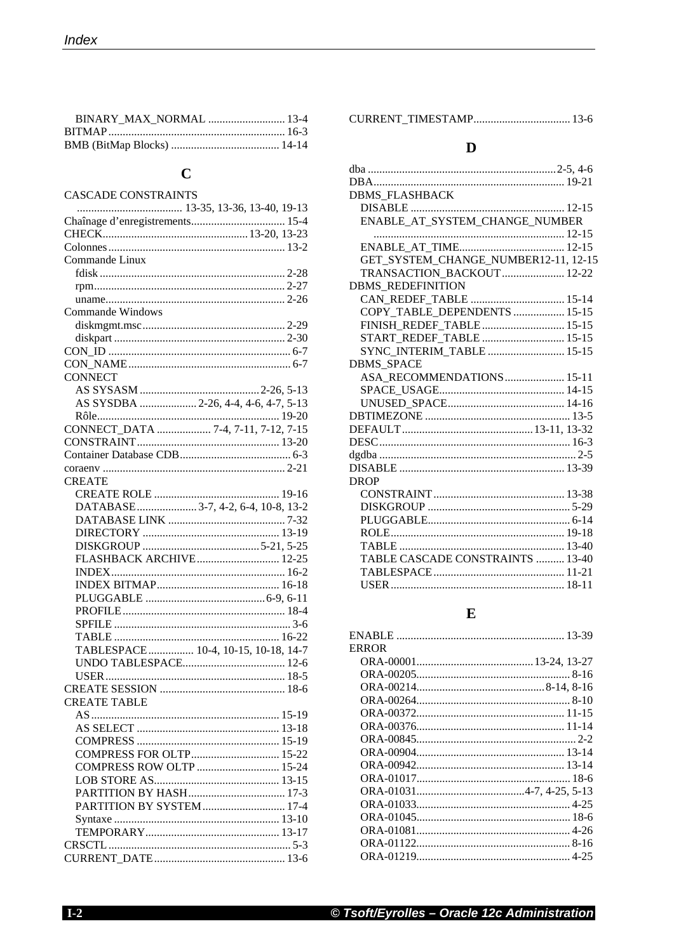## $\mathbf C$

| CASCADE CONSTRAINTS                  |
|--------------------------------------|
|                                      |
|                                      |
|                                      |
|                                      |
| Commande Linux                       |
|                                      |
|                                      |
|                                      |
| <b>Commande Windows</b>              |
|                                      |
|                                      |
|                                      |
|                                      |
|                                      |
| <b>CONNECT</b>                       |
|                                      |
| AS SYSDBA  2-26, 4-4, 4-6, 4-7, 5-13 |
|                                      |
| CONNECT DATA  7-4, 7-11, 7-12, 7-15  |
|                                      |
|                                      |
|                                      |
|                                      |
| <b>CREATE</b>                        |
|                                      |
| DATABASE 3-7, 4-2, 6-4, 10-8, 13-2   |
|                                      |
|                                      |
|                                      |
| FLASHBACK ARCHIVE 12-25              |
|                                      |
|                                      |
|                                      |
|                                      |
|                                      |
|                                      |
| TABLESPACE 10-4, 10-15, 10-18, 14-7  |
|                                      |
|                                      |
|                                      |
|                                      |
| CREATE TABLE                         |
|                                      |
|                                      |
|                                      |
| COMPRESS FOR OLTP 15-22              |
| COMPRESS ROW OLTP  15-24             |
|                                      |
|                                      |
| PARTITION BY SYSTEM 17-4             |
|                                      |
|                                      |
|                                      |
|                                      |
|                                      |

## $\mathbf{D}$

| <b>DBMS FLASHBACK</b>                |  |
|--------------------------------------|--|
|                                      |  |
| ENABLE_AT_SYSTEM_CHANGE_NUMBER       |  |
|                                      |  |
|                                      |  |
| GET_SYSTEM_CHANGE_NUMBER12-11, 12-15 |  |
| TRANSACTION BACKOUT  12-22           |  |
| <b>DBMS REDEFINITION</b>             |  |
| CAN REDEF TABLE  15-14               |  |
| COPY TABLE DEPENDENTS  15-15         |  |
| FINISH REDEF TABLE 15-15             |  |
| START_REDEF_TABLE  15-15             |  |
| SYNC INTERIM TABLE  15-15            |  |
| <b>DBMS SPACE</b>                    |  |
| ASA RECOMMENDATIONS 15-11            |  |
|                                      |  |
|                                      |  |
|                                      |  |
|                                      |  |
|                                      |  |
|                                      |  |
|                                      |  |
| <b>DROP</b>                          |  |
|                                      |  |
|                                      |  |
|                                      |  |
|                                      |  |
|                                      |  |
| TABLE CASCADE CONSTRAINTS  13-40     |  |
|                                      |  |
|                                      |  |
|                                      |  |

#### ${\bf E}$

| <b>ERROR</b> |  |
|--------------|--|
|              |  |
|              |  |
|              |  |
|              |  |
|              |  |
|              |  |
|              |  |
|              |  |
|              |  |
|              |  |
|              |  |
|              |  |
|              |  |
|              |  |
|              |  |
|              |  |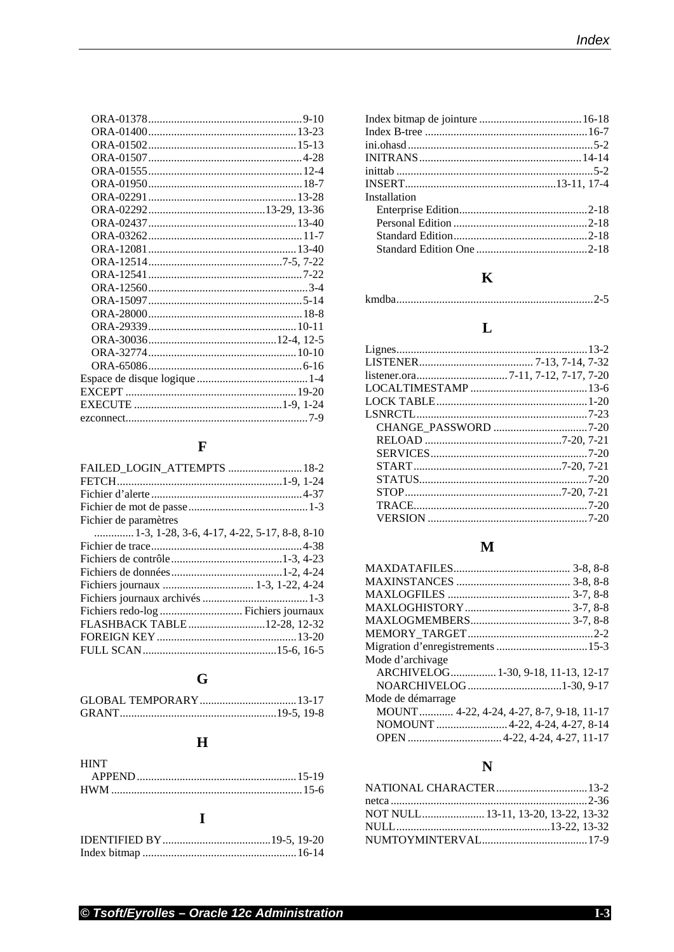## $\mathbf{F}$

| FAILED_LOGIN_ATTEMPTS  18-2                 |
|---------------------------------------------|
|                                             |
|                                             |
|                                             |
|                                             |
| 1-3, 1-28, 3-6, 4-17, 4-22, 5-17, 8-8, 8-10 |
|                                             |
|                                             |
|                                             |
|                                             |
|                                             |
|                                             |
| FLASHBACK TABLE12-28, 12-32                 |
|                                             |
|                                             |
|                                             |

# $\mathbf G$

# $\overline{\mathbf{H}}$

| <b>HINT</b> |  |
|-------------|--|
|             |  |
|             |  |

## $\mathbf I$

| Installation |  |
|--------------|--|
|              |  |
|              |  |
|              |  |
|              |  |

# $\mathbf{K}$

|--|--|

## $\mathbf{L}$

# $\mathbf{M}$

| Mode d'archivage                          |  |
|-------------------------------------------|--|
| ARCHIVELOG 1-30, 9-18, 11-13, 12-17       |  |
|                                           |  |
| Mode de démarrage                         |  |
| MOUNT  4-22, 4-24, 4-27, 8-7, 9-18, 11-17 |  |
| NOMOUNT  4-22, 4-24, 4-27, 8-14           |  |
|                                           |  |

# $\overline{\mathbf{N}}$

| NATIONAL CHARACTER 13-2             |
|-------------------------------------|
|                                     |
| NOT NULL 13-11, 13-20, 13-22, 13-32 |
|                                     |
|                                     |
|                                     |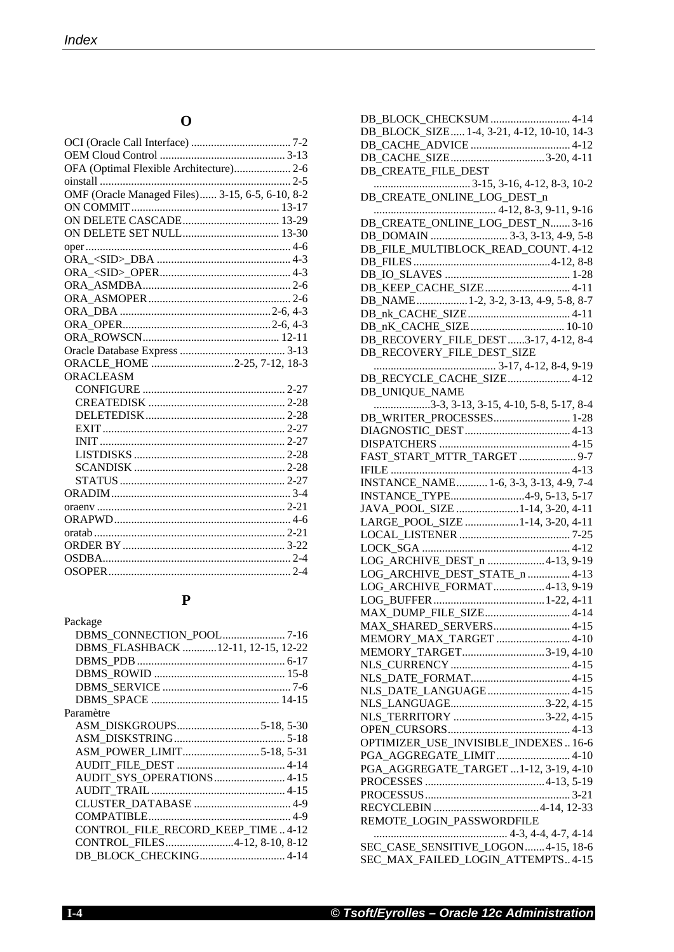## **O**

| OFA (Optimal Flexible Architecture) 2-6         |  |
|-------------------------------------------------|--|
|                                                 |  |
| OMF (Oracle Managed Files) 3-15, 6-5, 6-10, 8-2 |  |
|                                                 |  |
|                                                 |  |
|                                                 |  |
|                                                 |  |
|                                                 |  |
|                                                 |  |
|                                                 |  |
|                                                 |  |
|                                                 |  |
|                                                 |  |
|                                                 |  |
|                                                 |  |
| ORACLE_HOME 2-25, 7-12, 18-3                    |  |
| ORACLEASM                                       |  |
|                                                 |  |
|                                                 |  |
|                                                 |  |
|                                                 |  |
|                                                 |  |
|                                                 |  |
|                                                 |  |
|                                                 |  |
|                                                 |  |
|                                                 |  |
|                                                 |  |
|                                                 |  |
|                                                 |  |
|                                                 |  |
|                                                 |  |

#### **P**

| Package                            |
|------------------------------------|
|                                    |
| DBMS FLASHBACK 12-11, 12-15, 12-22 |
|                                    |
|                                    |
|                                    |
|                                    |
| Paramètre                          |
|                                    |
|                                    |
|                                    |
|                                    |
| AUDIT SYS OPERATIONS 4-15          |
|                                    |
|                                    |
|                                    |
| CONTROL FILE RECORD_KEEP_TIME4-12  |
| CONTROL FILES4-12, 8-10, 8-12      |
| DB_BLOCK_CHECKING 4-14             |

| DB BLOCK CHECKSUM  4-14                                                                                                                                                                                                                                                                                                                      |
|----------------------------------------------------------------------------------------------------------------------------------------------------------------------------------------------------------------------------------------------------------------------------------------------------------------------------------------------|
| DB_BLOCK_SIZE 1-4, 3-21, 4-12, 10-10, 14-3                                                                                                                                                                                                                                                                                                   |
|                                                                                                                                                                                                                                                                                                                                              |
| DB_CACHE_SIZE3-20, 4-11                                                                                                                                                                                                                                                                                                                      |
| DB_CREATE_FILE_DEST                                                                                                                                                                                                                                                                                                                          |
|                                                                                                                                                                                                                                                                                                                                              |
| DB CREATE_ONLINE_LOG_DEST_n                                                                                                                                                                                                                                                                                                                  |
|                                                                                                                                                                                                                                                                                                                                              |
| DB_CREATE_ONLINE_LOG_DEST_N 3-16                                                                                                                                                                                                                                                                                                             |
|                                                                                                                                                                                                                                                                                                                                              |
| DB_FILE_MULTIBLOCK_READ_COUNT.4-12                                                                                                                                                                                                                                                                                                           |
|                                                                                                                                                                                                                                                                                                                                              |
|                                                                                                                                                                                                                                                                                                                                              |
| DB_KEEP_CACHE_SIZE 4-11                                                                                                                                                                                                                                                                                                                      |
| DB_NAME1-2, 3-2, 3-13, 4-9, 5-8, 8-7                                                                                                                                                                                                                                                                                                         |
|                                                                                                                                                                                                                                                                                                                                              |
|                                                                                                                                                                                                                                                                                                                                              |
| DB_RECOVERY_FILE_DEST 3-17, 4-12, 8-4                                                                                                                                                                                                                                                                                                        |
| DB_RECOVERY_FILE_DEST_SIZE                                                                                                                                                                                                                                                                                                                   |
|                                                                                                                                                                                                                                                                                                                                              |
| DB RECYCLE_CACHE_SIZE 4-12                                                                                                                                                                                                                                                                                                                   |
| <b>DB UNIQUE NAME</b>                                                                                                                                                                                                                                                                                                                        |
| $\ldots$ $\ldots$ $\ldots$ $\ldots$ $\ldots$ $\ldots$ $\ldots$ $\ldots$ $\ldots$ $\ldots$ $\ldots$ $\ldots$ $\ldots$ $\ldots$ $\ldots$ $\ldots$ $\ldots$ $\ldots$ $\ldots$ $\ldots$ $\ldots$ $\ldots$ $\ldots$ $\ldots$ $\ldots$ $\ldots$ $\ldots$ $\ldots$ $\ldots$ $\ldots$ $\ldots$ $\ldots$ $\ldots$ $\ldots$ $\ldots$ $\ldots$ $\ldots$ |
| DB WRITER PROCESSES 1-28                                                                                                                                                                                                                                                                                                                     |
|                                                                                                                                                                                                                                                                                                                                              |
|                                                                                                                                                                                                                                                                                                                                              |
| FAST_START_MTTR_TARGET  9-7                                                                                                                                                                                                                                                                                                                  |
|                                                                                                                                                                                                                                                                                                                                              |
| INSTANCE_NAME 1-6, 3-3, 3-13, 4-9, 7-4                                                                                                                                                                                                                                                                                                       |
| INSTANCE_TYPE4-9, 5-13, 5-17                                                                                                                                                                                                                                                                                                                 |
| JAVA_POOL_SIZE 1-14, 3-20, 4-11                                                                                                                                                                                                                                                                                                              |
| LARGE_POOL_SIZE 1-14, 3-20, 4-11                                                                                                                                                                                                                                                                                                             |
|                                                                                                                                                                                                                                                                                                                                              |
|                                                                                                                                                                                                                                                                                                                                              |
| LOG_ARCHIVE_DEST_n 4-13, 9-19                                                                                                                                                                                                                                                                                                                |
| LOG_ARCHIVE_DEST_STATE_n  4-13                                                                                                                                                                                                                                                                                                               |
| LOG_ARCHIVE_FORMAT4-13, 9-19                                                                                                                                                                                                                                                                                                                 |
| MAX_DUMP_FILE_SIZE 4-14                                                                                                                                                                                                                                                                                                                      |
|                                                                                                                                                                                                                                                                                                                                              |
| MAX_SHARED_SERVERS 4-15                                                                                                                                                                                                                                                                                                                      |
| MEMORY_MAX_TARGET  4-10<br>MEMORY_TARGET3-19, 4-10                                                                                                                                                                                                                                                                                           |
|                                                                                                                                                                                                                                                                                                                                              |
|                                                                                                                                                                                                                                                                                                                                              |
|                                                                                                                                                                                                                                                                                                                                              |
|                                                                                                                                                                                                                                                                                                                                              |
| NLS_TERRITORY 3-22, 4-15                                                                                                                                                                                                                                                                                                                     |
|                                                                                                                                                                                                                                                                                                                                              |
| OPTIMIZER_USE_INVISIBLE_INDEXES16-6                                                                                                                                                                                                                                                                                                          |
| PGA_AGGREGATE_LIMIT 4-10                                                                                                                                                                                                                                                                                                                     |
| PGA_AGGREGATE_TARGET 1-12, 3-19, 4-10                                                                                                                                                                                                                                                                                                        |
|                                                                                                                                                                                                                                                                                                                                              |
|                                                                                                                                                                                                                                                                                                                                              |
|                                                                                                                                                                                                                                                                                                                                              |
| REMOTE_LOGIN_PASSWORDFILE                                                                                                                                                                                                                                                                                                                    |
|                                                                                                                                                                                                                                                                                                                                              |
| SEC_CASE_SENSITIVE_LOGON4-15, 18-6                                                                                                                                                                                                                                                                                                           |
| SEC_MAX_FAILED_LOGIN_ATTEMPTS4-15                                                                                                                                                                                                                                                                                                            |
|                                                                                                                                                                                                                                                                                                                                              |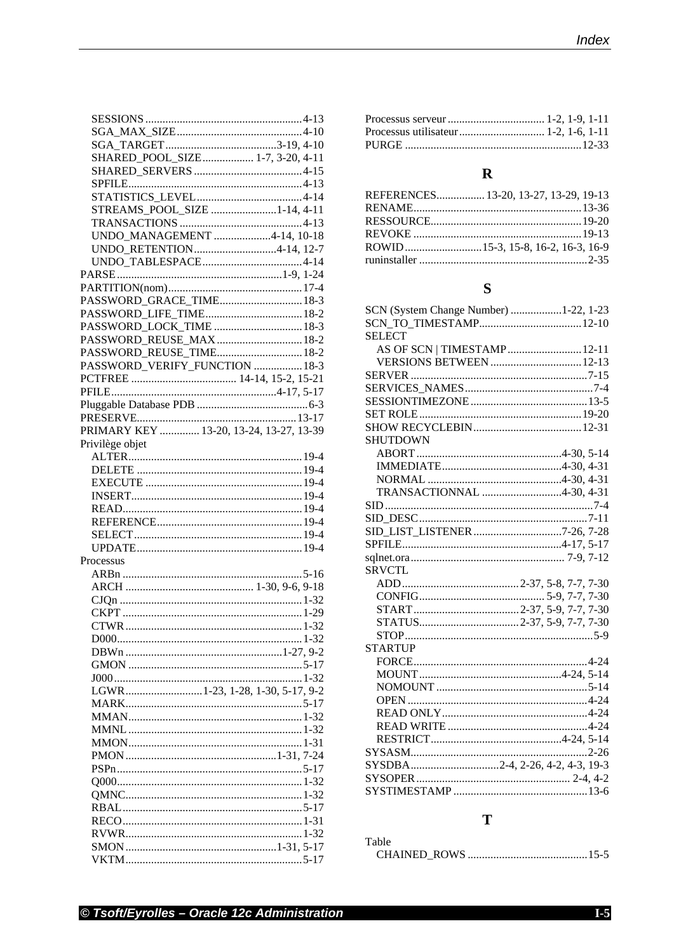| SHARED_POOL_SIZE 1-7, 3-20, 4-11        |
|-----------------------------------------|
|                                         |
|                                         |
|                                         |
| STREAMS_POOL_SIZE 1-14, 4-11            |
|                                         |
|                                         |
| UNDO_MANAGEMENT 4-14, 10-18             |
| UNDO_RETENTION4-14, 12-7                |
|                                         |
|                                         |
|                                         |
| PASSWORD_GRACE_TIME 18-3                |
| PASSWORD_LIFE_TIME 18-2                 |
| PASSWORD_LOCK_TIME  18-3                |
| PASSWORD_REUSE_MAX  18-2                |
| PASSWORD_REUSE_TIME 18-2                |
| PASSWORD_VERIFY_FUNCTION  18-3          |
|                                         |
|                                         |
|                                         |
|                                         |
| PRIMARY KEY  13-20, 13-24, 13-27, 13-39 |
|                                         |
| Privilège objet                         |
|                                         |
|                                         |
|                                         |
|                                         |
|                                         |
|                                         |
|                                         |
|                                         |
| Processus                               |
|                                         |
|                                         |
|                                         |
|                                         |
|                                         |
|                                         |
|                                         |
|                                         |
|                                         |
|                                         |
|                                         |
| LGWR1-23, 1-28, 1-30, 5-17, 9-2         |
|                                         |
|                                         |
|                                         |
|                                         |
|                                         |
|                                         |
|                                         |
|                                         |
|                                         |
|                                         |
|                                         |
|                                         |
|                                         |

## $\mathbf R$

| REFERENCES 13-20, 13-27, 13-29, 19-13 |
|---------------------------------------|
|                                       |
|                                       |
|                                       |
|                                       |
|                                       |

## $\mathbf S$

| SCN (System Change Number) 1-22, 1-23 |
|---------------------------------------|
|                                       |
| <b>SELECT</b>                         |
| AS OF SCN   TIMESTAMP 12-11           |
| <b>VERSIONS BETWEEN</b> 12-13         |
|                                       |
|                                       |
|                                       |
|                                       |
|                                       |
| SHUTDOWN                              |
|                                       |
|                                       |
|                                       |
| TRANSACTIONNAL 4-30, 4-31             |
|                                       |
|                                       |
| SID_LIST_LISTENER 7-26, 7-28          |
|                                       |
|                                       |
|                                       |
| <b>SRVCTL</b>                         |
|                                       |
|                                       |
|                                       |
|                                       |
|                                       |
| <b>STARTUP</b>                        |
|                                       |
|                                       |
|                                       |
|                                       |
|                                       |
|                                       |
|                                       |
|                                       |
| SYSDBA2-4, 2-26, 4-2, 4-3, 19-3       |
|                                       |

## $\mathbf T$

| Table |  |
|-------|--|
|       |  |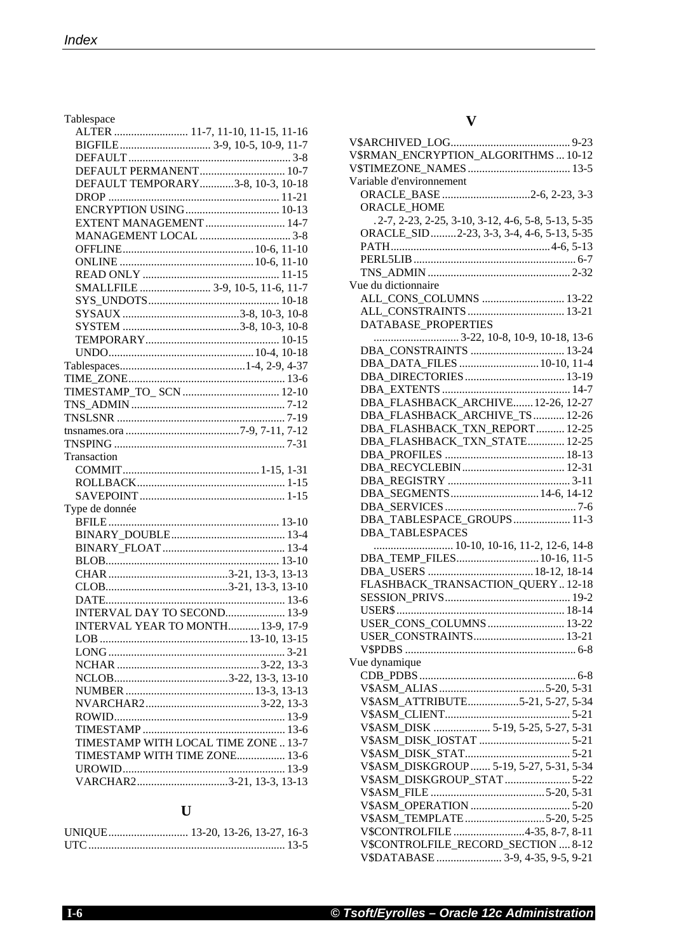Tablespace

|                          | ALTER  11-7, 11-10, 11-15, 11-16     |
|--------------------------|--------------------------------------|
|                          |                                      |
|                          |                                      |
|                          | DEFAULT PERMANENT 10-7               |
|                          | DEFAULT TEMPORARY3-8, 10-3, 10-18    |
|                          |                                      |
|                          |                                      |
|                          | EXTENT MANAGEMENT 14-7               |
|                          |                                      |
|                          |                                      |
|                          |                                      |
|                          |                                      |
|                          | SMALLFILE  3-9, 10-5, 11-6, 11-7     |
|                          |                                      |
|                          |                                      |
|                          |                                      |
|                          |                                      |
|                          |                                      |
|                          |                                      |
|                          |                                      |
|                          |                                      |
| TIMESTAMP_TO_ SCN  12-10 |                                      |
|                          |                                      |
|                          |                                      |
|                          |                                      |
|                          |                                      |
| Transaction              |                                      |
|                          |                                      |
|                          |                                      |
|                          |                                      |
|                          |                                      |
|                          |                                      |
| Type de donnée           |                                      |
|                          |                                      |
|                          |                                      |
|                          |                                      |
|                          |                                      |
|                          |                                      |
|                          |                                      |
|                          |                                      |
|                          | INTERVAL DAY TO SECOND 13-9          |
|                          | INTERVAL YEAR TO MONTH 13-9, 17-9    |
|                          |                                      |
|                          |                                      |
|                          |                                      |
|                          |                                      |
|                          |                                      |
|                          |                                      |
|                          |                                      |
|                          |                                      |
|                          | TIMESTAMP WITH LOCAL TIME ZONE  13-7 |
|                          | TIMESTAMP WITH TIME ZONE 13-6        |
|                          |                                      |
|                          | VARCHAR23-21, 13-3, 13-13            |

## **U**

## **V**

| V\$RMAN_ENCRYPTION_ALGORITHMS  10-12               |
|----------------------------------------------------|
|                                                    |
| Variable d'environnement                           |
|                                                    |
| ORACLE_BASE 2-6, 2-23, 3-3                         |
| ORACLE_HOME                                        |
| .2-7, 2-23, 2-25, 3-10, 3-12, 4-6, 5-8, 5-13, 5-35 |
| ORACLE_SID2-23, 3-3, 3-4, 4-6, 5-13, 5-35          |
|                                                    |
|                                                    |
|                                                    |
| Vue du dictionnaire                                |
| ALL_CONS_COLUMNS  13-22                            |
|                                                    |
| ALL CONSTRAINTS  13-21                             |
| DATABASE_PROPERTIES                                |
|                                                    |
| DBA_CONSTRAINTS  13-24                             |
| DBA_DATA_FILES  10-10, 11-4                        |
| DBA_DIRECTORIES 13-19                              |
|                                                    |
| DBA_FLASHBACK_ARCHIVE 12-26, 12-27                 |
|                                                    |
| DBA_FLASHBACK_ARCHIVE_TS  12-26                    |
| DBA_FLASHBACK_TXN_REPORT 12-25                     |
| DBA_FLASHBACK_TXN_STATE 12-25                      |
|                                                    |
|                                                    |
|                                                    |
| DBA_SEGMENTS 14-6, 14-12                           |
|                                                    |
|                                                    |
| DBA_TABLESPACE_GROUPS 11-3                         |
| <b>DBA_TABLESPACES</b>                             |
| 10-10, 10-16, 11-2, 12-6, 14-8                     |
| DBA_TEMP_FILES 10-16, 11-5                         |
|                                                    |
| FLASHBACK_TRANSACTION_QUERY12-18                   |
|                                                    |
|                                                    |
|                                                    |
| USER_CONS_COLUMNS  13-22                           |
|                                                    |
|                                                    |
| Vue dynamique                                      |
|                                                    |
|                                                    |
| V\$ASM_ATTRIBUTE5-21, 5-27, 5-34                   |
|                                                    |
|                                                    |
| V\$ASM_DISK  5-19, 5-25, 5-27, 5-31                |
|                                                    |
|                                                    |
| V\$ASM_DISKGROUP 5-19, 5-27, 5-31, 5-34            |
| V\$ASM_DISKGROUP_STAT 5-22                         |
|                                                    |
|                                                    |
|                                                    |
| V\$ASM_TEMPLATE5-20, 5-25                          |
| V\$CONTROLFILE4-35, 8-7, 8-11                      |
| V\$CONTROLFILE_RECORD_SECTION  8-12                |
| V\$DATABASE  3-9, 4-35, 9-5, 9-21                  |
|                                                    |